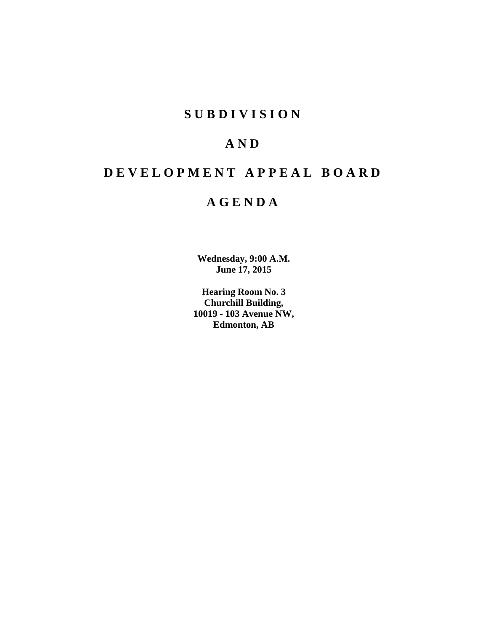# **S U B D I V I S I O N**

# **A N D**

# **D E V E L O P M E N T A P P E A L B O A R D**

# **A G E N D A**

**Wednesday, 9:00 A.M. June 17, 2015**

**Hearing Room No. 3 Churchill Building, 10019 - 103 Avenue NW, Edmonton, AB**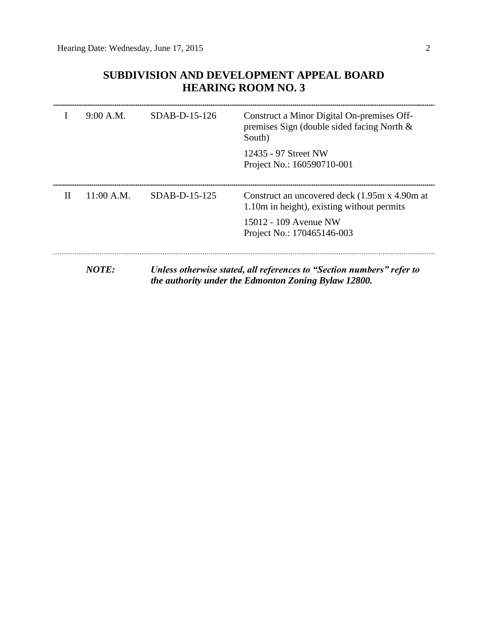# **SUBDIVISION AND DEVELOPMENT APPEAL BOARD HEARING ROOM NO. 3**

|              | 9:00 A.M.    | $SDAB-D-15-126$ | Construct a Minor Digital On-premises Off-<br>premises Sign (double sided facing North $\&$<br>South)                         |
|--------------|--------------|-----------------|-------------------------------------------------------------------------------------------------------------------------------|
|              |              |                 | 12435 - 97 Street NW<br>Project No.: 160590710-001                                                                            |
| $\mathbf{I}$ | $11:00$ A.M. | SDAB-D-15-125   | Construct an uncovered deck (1.95m x 4.90m at<br>1.10m in height), existing without permits                                   |
|              |              |                 | 15012 - 109 Avenue NW<br>Project No.: 170465146-003                                                                           |
|              | <b>NOTE:</b> |                 | Unless otherwise stated, all references to "Section numbers" refer to<br>the authority under the Edmonton Zoning Bylaw 12800. |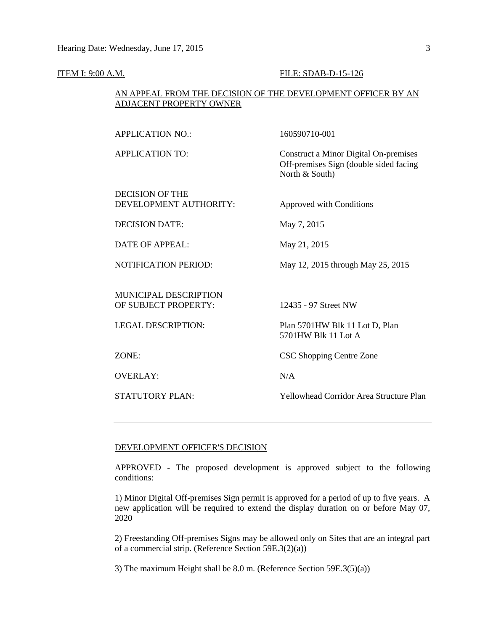#### **ITEM I: 9:00 A.M. FILE: SDAB-D-15-126**

## AN APPEAL FROM THE DECISION OF THE DEVELOPMENT OFFICER BY AN ADJACENT PROPERTY OWNER

| <b>APPLICATION NO.:</b>                              | 160590710-001                                                                                     |
|------------------------------------------------------|---------------------------------------------------------------------------------------------------|
| <b>APPLICATION TO:</b>                               | Construct a Minor Digital On-premises<br>Off-premises Sign (double sided facing<br>North & South) |
| <b>DECISION OF THE</b><br>DEVELOPMENT AUTHORITY:     | Approved with Conditions                                                                          |
| <b>DECISION DATE:</b>                                | May 7, 2015                                                                                       |
| <b>DATE OF APPEAL:</b>                               | May 21, 2015                                                                                      |
| <b>NOTIFICATION PERIOD:</b>                          | May 12, 2015 through May 25, 2015                                                                 |
| <b>MUNICIPAL DESCRIPTION</b><br>OF SUBJECT PROPERTY: | 12435 - 97 Street NW                                                                              |
| <b>LEGAL DESCRIPTION:</b>                            | Plan 5701HW Blk 11 Lot D, Plan<br>5701HW Blk 11 Lot A                                             |
| ZONE:                                                | CSC Shopping Centre Zone                                                                          |
| <b>OVERLAY:</b>                                      | N/A                                                                                               |
| <b>STATUTORY PLAN:</b>                               | Yellowhead Corridor Area Structure Plan                                                           |
|                                                      |                                                                                                   |

### DEVELOPMENT OFFICER'S DECISION

APPROVED - The proposed development is approved subject to the following conditions:

1) Minor Digital Off-premises Sign permit is approved for a period of up to five years. A new application will be required to extend the display duration on or before May 07, 2020

2) Freestanding Off-premises Signs may be allowed only on Sites that are an integral part of a commercial strip. (Reference Section 59E.3(2)(a))

3) The maximum Height shall be 8.0 m. (Reference Section 59E.3(5)(a))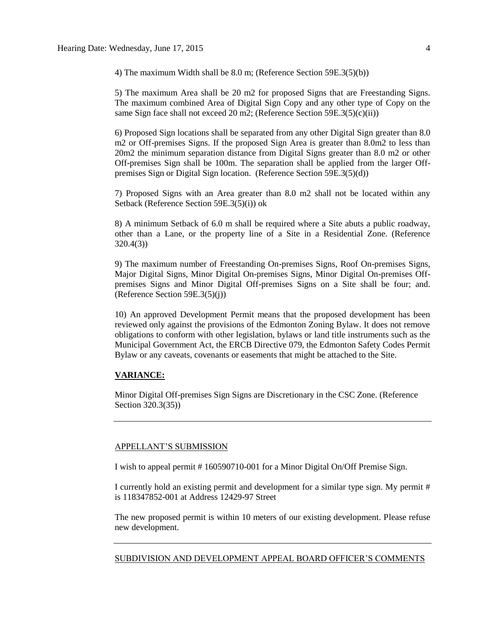4) The maximum Width shall be 8.0 m; (Reference Section 59E.3(5)(b))

5) The maximum Area shall be 20 m2 for proposed Signs that are Freestanding Signs. The maximum combined Area of Digital Sign Copy and any other type of Copy on the same Sign face shall not exceed 20 m2; (Reference Section 59E.3(5)(c)(ii))

6) Proposed Sign locations shall be separated from any other Digital Sign greater than 8.0 m2 or Off-premises Signs. If the proposed Sign Area is greater than 8.0m2 to less than 20m2 the minimum separation distance from Digital Signs greater than 8.0 m2 or other Off-premises Sign shall be 100m. The separation shall be applied from the larger Offpremises Sign or Digital Sign location. (Reference Section 59E.3(5)(d))

7) Proposed Signs with an Area greater than 8.0 m2 shall not be located within any Setback (Reference Section 59E.3(5)(i)) ok

8) A minimum Setback of 6.0 m shall be required where a Site abuts a public roadway, other than a Lane, or the property line of a Site in a Residential Zone. (Reference 320.4(3))

9) The maximum number of Freestanding On-premises Signs, Roof On-premises Signs, Major Digital Signs, Minor Digital On-premises Signs, Minor Digital On-premises Offpremises Signs and Minor Digital Off-premises Signs on a Site shall be four; and. (Reference Section 59E.3(5)(j))

10) An approved Development Permit means that the proposed development has been reviewed only against the provisions of the Edmonton Zoning Bylaw. It does not remove obligations to conform with other legislation, bylaws or land title instruments such as the Municipal Government Act, the ERCB Directive 079, the Edmonton Safety Codes Permit Bylaw or any caveats, covenants or easements that might be attached to the Site.

#### **VARIANCE:**

Minor Digital Off-premises Sign Signs are Discretionary in the CSC Zone. (Reference Section 320.3(35))

### APPELLANT'S SUBMISSION

I wish to appeal permit # 160590710-001 for a Minor Digital On/Off Premise Sign.

I currently hold an existing permit and development for a similar type sign. My permit # is 118347852-001 at Address 12429-97 Street

The new proposed permit is within 10 meters of our existing development. Please refuse new development.

SUBDIVISION AND DEVELOPMENT APPEAL BOARD OFFICER'S COMMENTS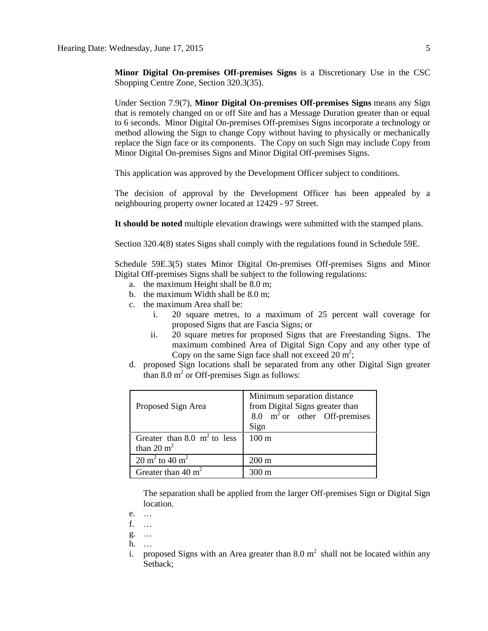**Minor Digital On-premises Off-premises Signs** is a Discretionary Use in the CSC Shopping Centre Zone, Section 320.3(35).

Under Section 7.9(7), **Minor Digital On-premises Off-premises Signs** means any Sign that is remotely changed on or off Site and has a Message Duration greater than or equal to 6 seconds. Minor Digital On-premises Off-premises Signs incorporate a technology or method allowing the Sign to change Copy without having to physically or mechanically replace the Sign face or its components. The Copy on such Sign may include Copy from Minor Digital On-premises Signs and Minor Digital Off-premises Signs.

This application was approved by the Development Officer subject to conditions.

The decision of approval by the Development Officer has been appealed by a neighbouring property owner located at 12429 - 97 Street.

**It should be noted** multiple elevation drawings were submitted with the stamped plans.

Section 320.4(8) states Signs shall comply with the regulations found in Schedule 59E.

Schedule 59E.3(5) states Minor Digital On-premises Off-premises Signs and Minor Digital Off-premises Signs shall be subject to the following regulations:

- a. the maximum Height shall be [8.0 m;](javascript:void(0);)
- b. the maximum Width shall be [8.0 m;](javascript:void(0);)
- c. the maximum Area shall be:
	- i. 20 square metres, to a maximum of 25 percent wall coverage for proposed Signs that are Fascia Signs; or
	- ii. 20 square metres for proposed Signs that are Freestanding Signs. The maximum combined Area of Digital Sign Copy and any other type of Copy on the same Sign face shall not exceed  $20 \text{ m}^2$ ;
- d. proposed Sign locations shall be separated from any other Digital Sign greater than  $8.0 \text{ m}^2$  or Off-premises Sign as follows:

| Proposed Sign Area                             | Minimum separation distance<br>from Digital Signs greater than<br>8.0 $m2$ or other Off-premises<br>Sign |
|------------------------------------------------|----------------------------------------------------------------------------------------------------------|
| Greater than 8.0 $m^2$ to less<br>than 20 $m2$ | 100 <sub>m</sub>                                                                                         |
| $20 \text{ m}^2$ to $40 \text{ m}^2$           | $200 \text{ m}$                                                                                          |
| Greater than $40 \text{ m}^2$                  | $300 \text{ m}$                                                                                          |

The separation shall be applied from the larger Off-premises Sign or Digital Sign location.

- e. …
- f. …
- g. …
- h. …
- i. proposed Signs with an Area greater than 8.0  $m^2$  shall not be located within any Setback;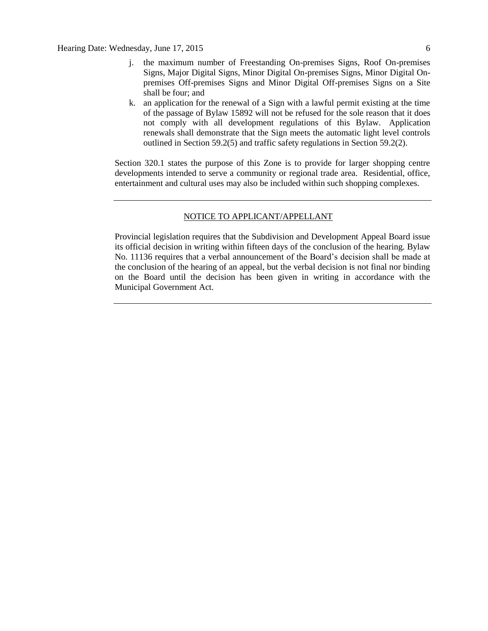- j. the maximum number of Freestanding On-premises Signs, Roof On-premises Signs, Major Digital Signs, Minor Digital On-premises Signs, Minor Digital Onpremises Off-premises Signs and Minor Digital Off-premises Signs on a Site shall be four; and
- k. an application for the renewal of a Sign with a lawful permit existing at the time of the passage of Bylaw 15892 will not be refused for the sole reason that it does not comply with all development regulations of this Bylaw. Application renewals shall demonstrate that the Sign meets the automatic light level controls outlined in Section 59.2(5) and traffic safety regulations in Section 59.2(2).

Section 320.1 states the purpose of this Zone is to provide for larger shopping centre developments intended to serve a community or regional trade area. Residential, office, entertainment and cultural uses may also be included within such shopping complexes.

#### NOTICE TO APPLICANT/APPELLANT

Provincial legislation requires that the Subdivision and Development Appeal Board issue its official decision in writing within fifteen days of the conclusion of the hearing. Bylaw No. 11136 requires that a verbal announcement of the Board's decision shall be made at the conclusion of the hearing of an appeal, but the verbal decision is not final nor binding on the Board until the decision has been given in writing in accordance with the Municipal Government Act.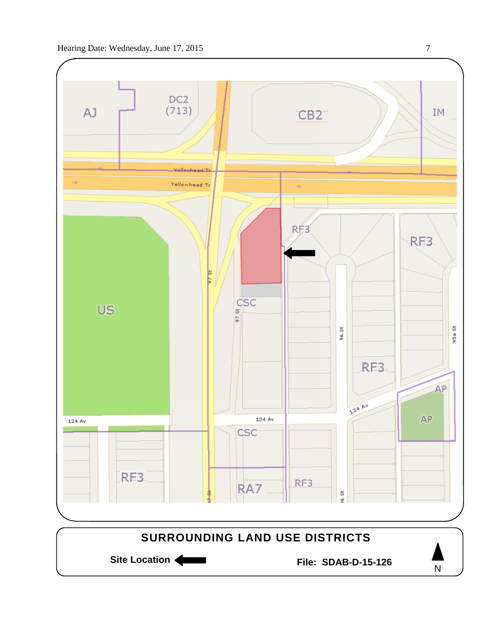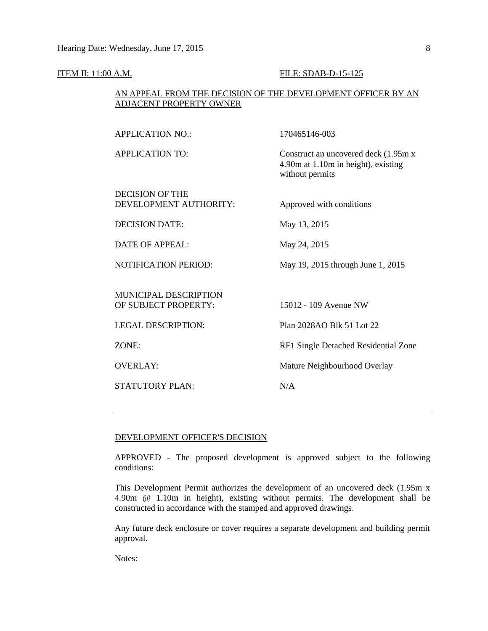### **ITEM II:** 11:00 A.M. **FILE:** SDAB-D-15-125

## AN APPEAL FROM THE DECISION OF THE DEVELOPMENT OFFICER BY AN ADJACENT PROPERTY OWNER

| <b>APPLICATION NO.:</b>                              | 170465146-003                                                                                   |
|------------------------------------------------------|-------------------------------------------------------------------------------------------------|
| <b>APPLICATION TO:</b>                               | Construct an uncovered deck (1.95m x)<br>4.90m at 1.10m in height), existing<br>without permits |
| <b>DECISION OF THE</b>                               |                                                                                                 |
| DEVELOPMENT AUTHORITY:                               | Approved with conditions                                                                        |
| <b>DECISION DATE:</b>                                | May 13, 2015                                                                                    |
| <b>DATE OF APPEAL:</b>                               | May 24, 2015                                                                                    |
| <b>NOTIFICATION PERIOD:</b>                          | May 19, 2015 through June 1, 2015                                                               |
|                                                      |                                                                                                 |
| <b>MUNICIPAL DESCRIPTION</b><br>OF SUBJECT PROPERTY: | 15012 - 109 Avenue NW                                                                           |
| <b>LEGAL DESCRIPTION:</b>                            | Plan 2028AO Blk 51 Lot 22                                                                       |
| ZONE:                                                | RF1 Single Detached Residential Zone                                                            |
| <b>OVERLAY:</b>                                      | Mature Neighbourhood Overlay                                                                    |
| <b>STATUTORY PLAN:</b>                               | N/A                                                                                             |
|                                                      |                                                                                                 |

### DEVELOPMENT OFFICER'S DECISION

APPROVED - The proposed development is approved subject to the following conditions:

This Development Permit authorizes the development of an uncovered deck (1.95m x 4.90m @ 1.10m in height), existing without permits. The development shall be constructed in accordance with the stamped and approved drawings.

Any future deck enclosure or cover requires a separate development and building permit approval.

Notes: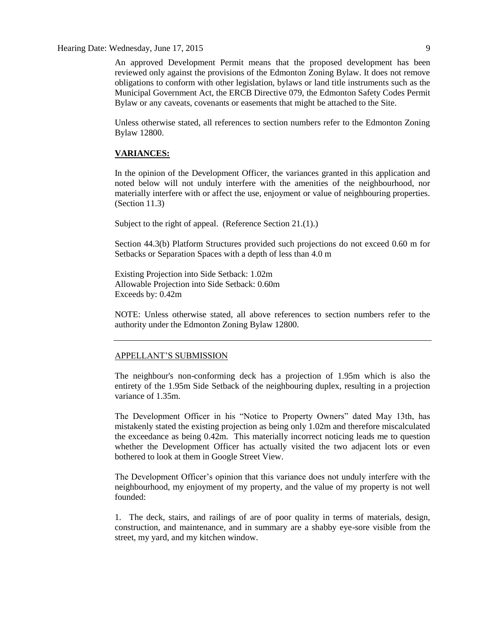Hearing Date: Wednesday, June 17, 2015 9

An approved Development Permit means that the proposed development has been reviewed only against the provisions of the Edmonton Zoning Bylaw. It does not remove obligations to conform with other legislation, bylaws or land title instruments such as the Municipal Government Act, the ERCB Directive 079, the Edmonton Safety Codes Permit Bylaw or any caveats, covenants or easements that might be attached to the Site.

Unless otherwise stated, all references to section numbers refer to the Edmonton Zoning Bylaw 12800.

#### **VARIANCES:**

In the opinion of the Development Officer, the variances granted in this application and noted below will not unduly interfere with the amenities of the neighbourhood, nor materially interfere with or affect the use, enjoyment or value of neighbouring properties. (Section 11.3)

Subject to the right of appeal. (Reference Section 21.(1).)

Section 44.3(b) Platform Structures provided such projections do not exceed 0.60 m for Setbacks or Separation Spaces with a depth of less than 4.0 m

Existing Projection into Side Setback: 1.02m Allowable Projection into Side Setback: 0.60m Exceeds by: 0.42m

NOTE: Unless otherwise stated, all above references to section numbers refer to the authority under the Edmonton Zoning Bylaw 12800.

#### APPELLANT'S SUBMISSION

The neighbour's non-conforming deck has a projection of 1.95m which is also the entirety of the 1.95m Side Setback of the neighbouring duplex, resulting in a projection variance of 1.35m.

The Development Officer in his "Notice to Property Owners" dated May 13th, has mistakenly stated the existing projection as being only 1.02m and therefore miscalculated the exceedance as being 0.42m. This materially incorrect noticing leads me to question whether the Development Officer has actually visited the two adjacent lots or even bothered to look at them in Google Street View.

The Development Officer's opinion that this variance does not unduly interfere with the neighbourhood, my enjoyment of my property, and the value of my property is not well founded:

1. The deck, stairs, and railings of are of poor quality in terms of materials, design, construction, and maintenance, and in summary are a shabby eye-sore visible from the street, my yard, and my kitchen window.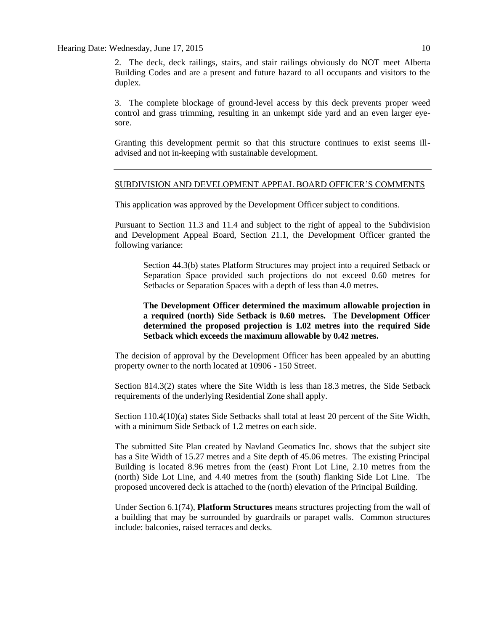Hearing Date: Wednesday, June 17, 2015 10

2. The deck, deck railings, stairs, and stair railings obviously do NOT meet Alberta Building Codes and are a present and future hazard to all occupants and visitors to the duplex.

3. The complete blockage of ground-level access by this deck prevents proper weed control and grass trimming, resulting in an unkempt side yard and an even larger eyesore.

Granting this development permit so that this structure continues to exist seems illadvised and not in-keeping with sustainable development.

#### SUBDIVISION AND DEVELOPMENT APPEAL BOARD OFFICER'S COMMENTS

This application was approved by the Development Officer subject to conditions.

Pursuant to Section 11.3 and 11.4 and subject to the right of appeal to the Subdivision and Development Appeal Board, Section 21.1, the Development Officer granted the following variance:

Section 44.3(b) states Platform Structures may project into a required Setback or Separation Space provided such projections do not exceed 0.60 metres for Setbacks or Separation Spaces with a depth of less than 4.0 metres.

## **The Development Officer determined the maximum allowable projection in a required (north) Side Setback is 0.60 metres. The Development Officer determined the proposed projection is 1.02 metres into the required Side Setback which exceeds the maximum allowable by 0.42 metres.**

The decision of approval by the Development Officer has been appealed by an abutting property owner to the north located at 10906 - 150 Street.

Section 814.3(2) states where the Site Width is less than [18.3](javascript:void(0);) metres, the Side Setback requirements of the underlying Residential Zone shall apply.

Section 110.4(10)(a) states Side Setbacks shall total at least 20 percent of the Site Width, with a minimum Side Setback of [1.2](javascript:void(0);) metres on each side.

The submitted Site Plan created by Navland Geomatics Inc. shows that the subject site has a Site Width of 15.27 metres and a Site depth of 45.06 metres. The existing Principal Building is located 8.96 metres from the (east) Front Lot Line, 2.10 metres from the (north) Side Lot Line, and 4.40 metres from the (south) flanking Side Lot Line. The proposed uncovered deck is attached to the (north) elevation of the Principal Building.

Under Section 6.1(74), **Platform Structures** means structures projecting from the wall of a building that may be surrounded by guardrails or parapet walls. Common structures include: balconies, raised terraces and decks.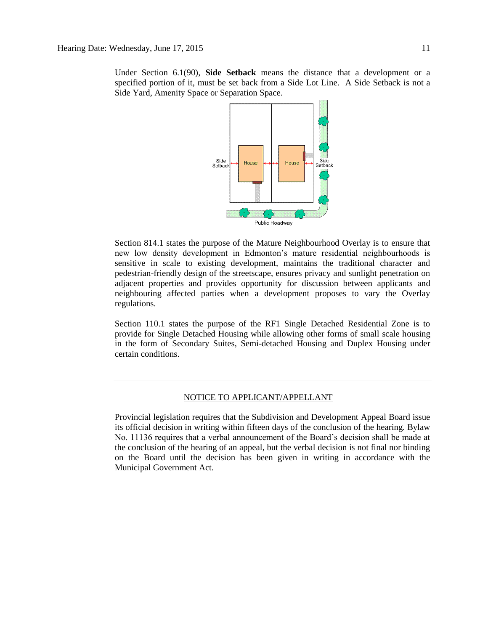Under Section 6.1(90), **Side Setback** means the distance that a development or a specified portion of it, must be set back from a Side Lot Line. A Side Setback is not a Side Yard, Amenity Space or Separation Space.



Section 814.1 states the purpose of the Mature Neighbourhood Overlay is to ensure that new low density development in Edmonton's mature residential neighbourhoods is sensitive in scale to existing development, maintains the traditional character and pedestrian-friendly design of the streetscape, ensures privacy and sunlight penetration on adjacent properties and provides opportunity for discussion between applicants and neighbouring affected parties when a development proposes to vary the Overlay regulations.

Section 110.1 states the purpose of the RF1 Single Detached Residential Zone is to provide for Single Detached Housing while allowing other forms of small scale housing in the form of Secondary Suites, Semi-detached Housing and Duplex Housing under certain conditions.

#### NOTICE TO APPLICANT/APPELLANT

Provincial legislation requires that the Subdivision and Development Appeal Board issue its official decision in writing within fifteen days of the conclusion of the hearing. Bylaw No. 11136 requires that a verbal announcement of the Board's decision shall be made at the conclusion of the hearing of an appeal, but the verbal decision is not final nor binding on the Board until the decision has been given in writing in accordance with the Municipal Government Act.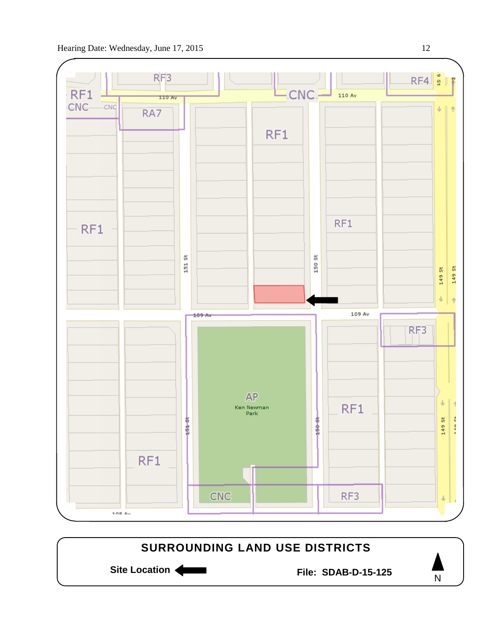